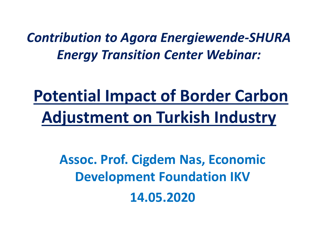*Contribution to Agora Energiewende-SHURA Energy Transition Center Webinar:*

## **Potential Impact of Border Carbon Adjustment on Turkish Industry**

**Assoc. Prof. Cigdem Nas, Economic Development Foundation IKV 14.05.2020**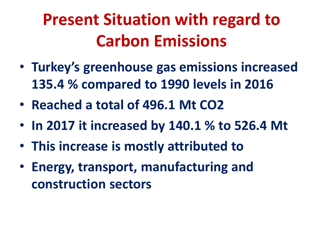## **Present Situation with regard to Carbon Emissions**

- **Turkey's greenhouse gas emissions increased 135.4 % compared to 1990 levels in 2016**
- **Reached a total of 496.1 Mt CO2**
- **In 2017 it increased by 140.1 % to 526.4 Mt**
- **This increase is mostly attributed to**
- **Energy, transport, manufacturing and construction sectors**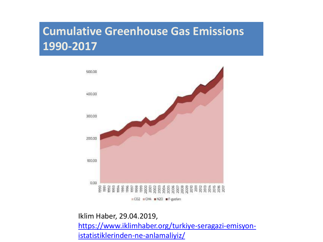### **Cumulative Greenhouse Gas Emissions 1990-2017**



Iklim Haber, 29.04.2019, [https://www.iklimhaber.org/turkiye-seragazi-emisyon](https://www.iklimhaber.org/turkiye-seragazi-emisyon-istatistiklerinden-ne-anlamaliyiz/)istatistiklerinden-ne-anlamaliyiz/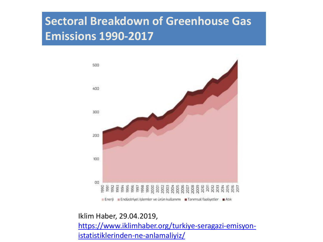### **Sectoral Breakdown of Greenhouse Gas Emissions 1990-2017**



Iklim Haber, 29.04.2019,

[https://www.iklimhaber.org/turkiye-seragazi-emisyon](https://www.iklimhaber.org/turkiye-seragazi-emisyon-istatistiklerinden-ne-anlamaliyiz/)istatistiklerinden-ne-anlamaliyiz/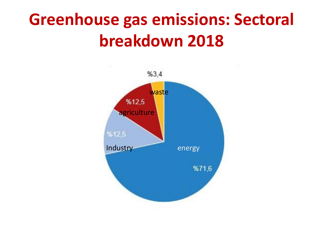### **Greenhouse gas emissions: Sectoral breakdown 2018**

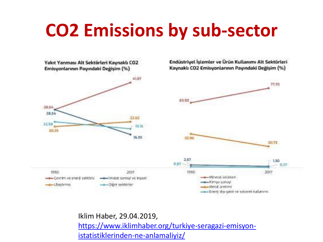## **CO2 Emissions by sub-sector**



Iklim Haber, 29.04.2019, [https://www.iklimhaber.org/turkiye-seragazi-emisyon](https://www.iklimhaber.org/turkiye-seragazi-emisyon-istatistiklerinden-ne-anlamaliyiz/)istatistiklerinden-ne-anlamaliyiz/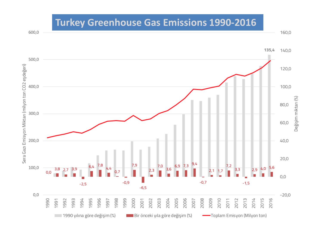#### **Turkey Greenhouse Gas Emissions 1990-2016**

160,0



600,0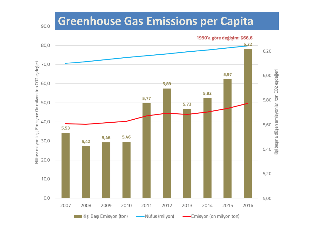#### **Greenhouse Gas Emissions per Capita**

1990'a göre değişim: %66,6  $6,22$ 80,0  $6,20$ Nüfus: milyon kişi, Emisyon: On milyon ton CO2 eşdeğeri 70,0 Kişi başına düşen emisyonlar: ton CO2 eşdeğeri 5,97 6,00 60,0 5,89 5,82 5,77 5,80 50,0 5,73 40,0 5,60 5,53 5,46 5,46 30,0  $5,42$  $5,40$ 20,0 5,20  $10,0$  $0,0$ 5,00 2007 2014 2008 2009 2010 2011 2012 2013 2015 2016 Kişi Başı Emisyon (ton) -Emisyon (on milyon ton) -Nüfus (milyon)

90,0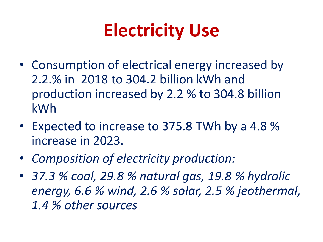# **Electricity Use**

- Consumption of electrical energy increased by 2.2.% in 2018 to 304.2 billion kWh and production increased by 2.2 % to 304.8 billion kWh
- Expected to increase to 375.8 TWh by a 4.8 % increase in 2023.
- *Composition of electricity production:*
- *37.3 % coal, 29.8 % natural gas, 19.8 % hydrolic energy, 6.6 % wind, 2.6 % solar, 2.5 % jeothermal, 1.4 % other sources*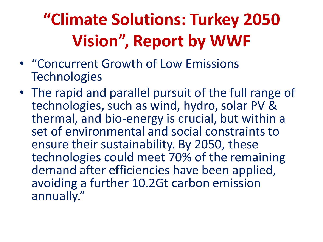# **"Climate Solutions: Turkey 2050 Vision", Report by WWF**

- "Concurrent Growth of Low Emissions **Technologies**
- The rapid and parallel pursuit of the full range of technologies, such as wind, hydro, solar PV & thermal, and bio-energy is crucial, but within a set of environmental and social constraints to ensure their sustainability. By 2050, these technologies could meet 70% of the remaining demand after efficiencies have been applied, avoiding a further 10.2Gt carbon emission annually."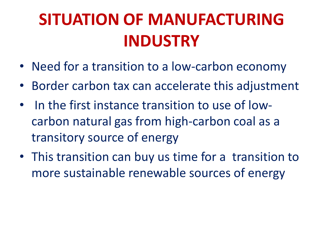### **SITUATION OF MANUFACTURING INDUSTRY**

- Need for a transition to a low-carbon economy
- Border carbon tax can accelerate this adjustment
- In the first instance transition to use of lowcarbon natural gas from high-carbon coal as a transitory source of energy
- This transition can buy us time for a transition to more sustainable renewable sources of energy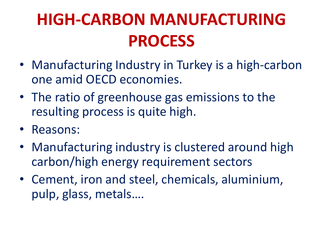## **HIGH-CARBON MANUFACTURING PROCESS**

- Manufacturing Industry in Turkey is a high-carbon one amid OECD economies.
- The ratio of greenhouse gas emissions to the resulting process is quite high.
- Reasons:
- Manufacturing industry is clustered around high carbon/high energy requirement sectors
- Cement, iron and steel, chemicals, aluminium, pulp, glass, metals….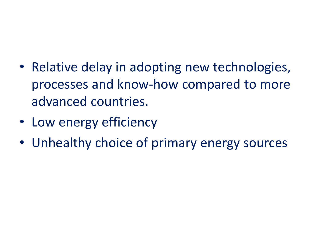- Relative delay in adopting new technologies, processes and know-how compared to more advanced countries.
- Low energy efficiency
- Unhealthy choice of primary energy sources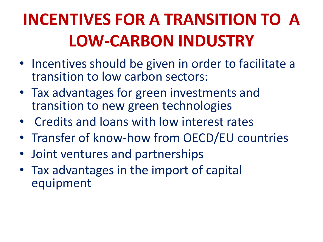## **INCENTIVES FOR A TRANSITION TO A LOW-CARBON INDUSTRY**

- Incentives should be given in order to facilitate a transition to low carbon sectors:
- Tax advantages for green investments and transition to new green technologies
- Credits and loans with low interest rates
- Transfer of know-how from OECD/EU countries
- Joint ventures and partnerships
- Tax advantages in the import of capital equipment